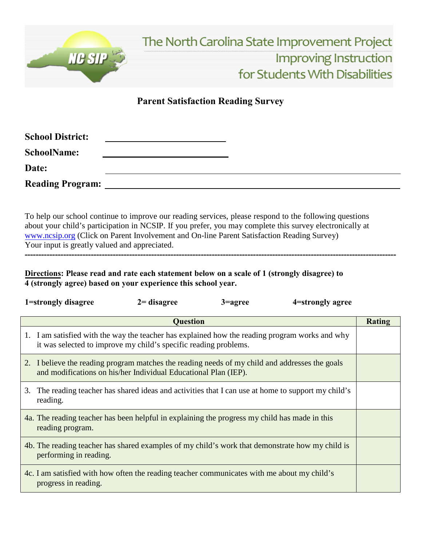

## **Parent Satisfaction Reading Survey**

| <b>School District:</b> |  |  |
|-------------------------|--|--|
| <b>SchoolName:</b>      |  |  |
| Date:                   |  |  |
| <b>Reading Program:</b> |  |  |

To help our school continue to improve our reading services, please respond to the following questions about your child's participation in NCSIP. If you prefer, you may complete this survey electronically at [www.ncsip.org \(](http://www.ncsip.org/)Click on Parent Involvement and On-line Parent Satisfaction Reading Survey) Your input is greatly valued and appreciated.

**---------------------------------------------------------------------------------------------------------------------------------------**

**Directions: Please read and rate each statement below on a scale of 1 (strongly disagree) to 4 (strongly agree) based on your experience this school year.**

|                 | 1=strongly disagree                                                                                                                                                | $2 =$ disagree | $3 =$ agree | 4=strongly agree                                                                                 |               |
|-----------------|--------------------------------------------------------------------------------------------------------------------------------------------------------------------|----------------|-------------|--------------------------------------------------------------------------------------------------|---------------|
| <b>Question</b> |                                                                                                                                                                    |                |             |                                                                                                  | <b>Rating</b> |
|                 | 1. I am satisfied with the way the teacher has explained how the reading program works and why<br>it was selected to improve my child's specific reading problems. |                |             |                                                                                                  |               |
|                 | 2. I believe the reading program matches the reading needs of my child and addresses the goals<br>and modifications on his/her Individual Educational Plan (IEP).  |                |             |                                                                                                  |               |
| 3.              | reading.                                                                                                                                                           |                |             | The reading teacher has shared ideas and activities that I can use at home to support my child's |               |
|                 | 4a. The reading teacher has been helpful in explaining the progress my child has made in this<br>reading program.                                                  |                |             |                                                                                                  |               |
|                 | 4b. The reading teacher has shared examples of my child's work that demonstrate how my child is<br>performing in reading.                                          |                |             |                                                                                                  |               |
|                 | 4c. I am satisfied with how often the reading teacher communicates with me about my child's<br>progress in reading.                                                |                |             |                                                                                                  |               |